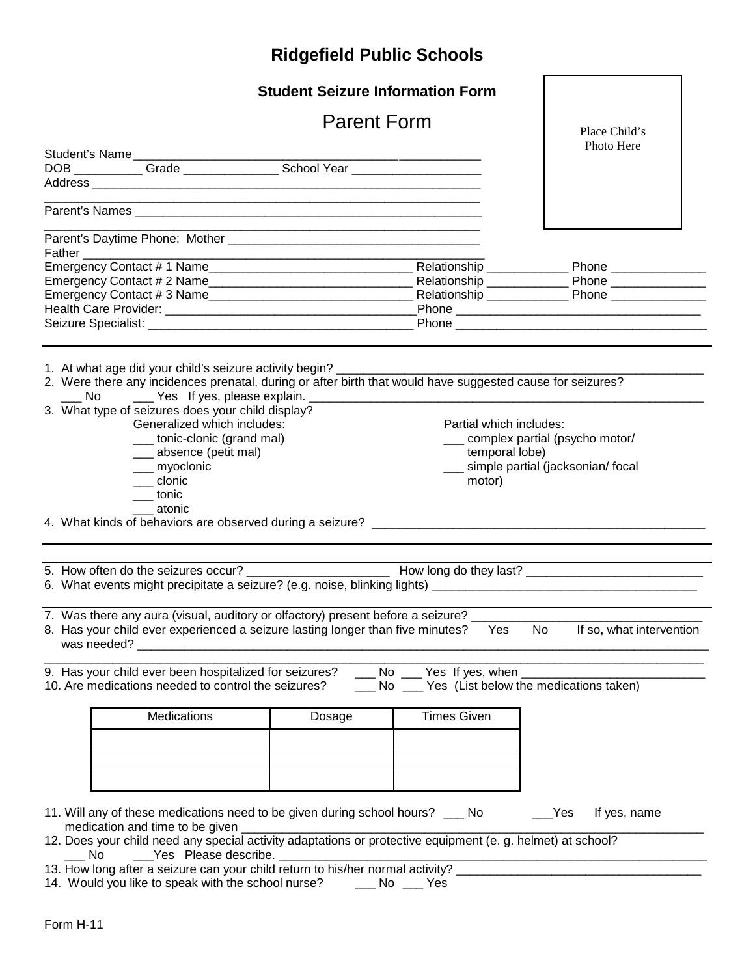|                                                                                                                                                                                                                                                    |                                                                                                               | <b>Student Seizure Information Form</b>                                                                                                                                  |                                                                                                                                                                                                                                          |                                                                                                                                                                                                                                       |  |
|----------------------------------------------------------------------------------------------------------------------------------------------------------------------------------------------------------------------------------------------------|---------------------------------------------------------------------------------------------------------------|--------------------------------------------------------------------------------------------------------------------------------------------------------------------------|------------------------------------------------------------------------------------------------------------------------------------------------------------------------------------------------------------------------------------------|---------------------------------------------------------------------------------------------------------------------------------------------------------------------------------------------------------------------------------------|--|
|                                                                                                                                                                                                                                                    | <b>Parent Form</b>                                                                                            |                                                                                                                                                                          |                                                                                                                                                                                                                                          | Place Child's<br>Photo Here                                                                                                                                                                                                           |  |
|                                                                                                                                                                                                                                                    |                                                                                                               | Student's Name<br>DOB ____________Grade _________________School Year ______________________________                                                                      |                                                                                                                                                                                                                                          |                                                                                                                                                                                                                                       |  |
|                                                                                                                                                                                                                                                    |                                                                                                               |                                                                                                                                                                          |                                                                                                                                                                                                                                          |                                                                                                                                                                                                                                       |  |
|                                                                                                                                                                                                                                                    |                                                                                                               |                                                                                                                                                                          |                                                                                                                                                                                                                                          |                                                                                                                                                                                                                                       |  |
|                                                                                                                                                                                                                                                    |                                                                                                               |                                                                                                                                                                          |                                                                                                                                                                                                                                          |                                                                                                                                                                                                                                       |  |
| Father                                                                                                                                                                                                                                             |                                                                                                               | <u> 1980 - Johann Barn, mars an t-Amerikaansk politiker (* 1908)</u>                                                                                                     |                                                                                                                                                                                                                                          |                                                                                                                                                                                                                                       |  |
|                                                                                                                                                                                                                                                    |                                                                                                               |                                                                                                                                                                          |                                                                                                                                                                                                                                          |                                                                                                                                                                                                                                       |  |
|                                                                                                                                                                                                                                                    |                                                                                                               |                                                                                                                                                                          |                                                                                                                                                                                                                                          |                                                                                                                                                                                                                                       |  |
|                                                                                                                                                                                                                                                    |                                                                                                               |                                                                                                                                                                          |                                                                                                                                                                                                                                          |                                                                                                                                                                                                                                       |  |
|                                                                                                                                                                                                                                                    |                                                                                                               |                                                                                                                                                                          |                                                                                                                                                                                                                                          |                                                                                                                                                                                                                                       |  |
|                                                                                                                                                                                                                                                    |                                                                                                               |                                                                                                                                                                          |                                                                                                                                                                                                                                          |                                                                                                                                                                                                                                       |  |
| Yes If yes, please explain. ____________<br>No.<br>3. What type of seizures does your child display?<br>Generalized which includes:<br>____ tonic-clonic (grand mal)<br>___ absence (petit mal)<br>__ myoclonic<br>___ clonic<br>__tonic<br>atonic |                                                                                                               |                                                                                                                                                                          | 2. Were there any incidences prenatal, during or after birth that would have suggested cause for seizures?<br>Partial which includes:<br>complex partial (psycho motor/<br>temporal lobe)<br>simple partial (jacksonian/ focal<br>motor) |                                                                                                                                                                                                                                       |  |
|                                                                                                                                                                                                                                                    |                                                                                                               |                                                                                                                                                                          |                                                                                                                                                                                                                                          | 5. How often do the seizures occur?<br><u>Letter and the seizures occures</u> and the seizures occures are the series of the sense of the seizures and the seizures of the seizure of the seizure of the seizure of the seizure of th |  |
|                                                                                                                                                                                                                                                    |                                                                                                               | 7. Was there any aura (visual, auditory or olfactory) present before a seizure? __<br>8. Has your child ever experienced a seizure lasting longer than five minutes? Yes |                                                                                                                                                                                                                                          | No.<br>If so, what intervention                                                                                                                                                                                                       |  |
|                                                                                                                                                                                                                                                    | 9. Has your child ever been hospitalized for seizures?<br>10. Are medications needed to control the seizures? |                                                                                                                                                                          | No _____ Yes (List below the medications taken)                                                                                                                                                                                          |                                                                                                                                                                                                                                       |  |
|                                                                                                                                                                                                                                                    | Medications                                                                                                   | Dosage                                                                                                                                                                   | <b>Times Given</b>                                                                                                                                                                                                                       |                                                                                                                                                                                                                                       |  |
|                                                                                                                                                                                                                                                    |                                                                                                               |                                                                                                                                                                          |                                                                                                                                                                                                                                          |                                                                                                                                                                                                                                       |  |
|                                                                                                                                                                                                                                                    |                                                                                                               |                                                                                                                                                                          |                                                                                                                                                                                                                                          |                                                                                                                                                                                                                                       |  |
|                                                                                                                                                                                                                                                    |                                                                                                               |                                                                                                                                                                          |                                                                                                                                                                                                                                          |                                                                                                                                                                                                                                       |  |
|                                                                                                                                                                                                                                                    |                                                                                                               |                                                                                                                                                                          |                                                                                                                                                                                                                                          |                                                                                                                                                                                                                                       |  |
|                                                                                                                                                                                                                                                    |                                                                                                               |                                                                                                                                                                          |                                                                                                                                                                                                                                          |                                                                                                                                                                                                                                       |  |
|                                                                                                                                                                                                                                                    |                                                                                                               | 11. Will any of these medications need to be given during school hours? __ No                                                                                            |                                                                                                                                                                                                                                          | Yes <sub>.</sub><br>If yes, name                                                                                                                                                                                                      |  |
|                                                                                                                                                                                                                                                    | medication and time to be given                                                                               | 12. Does your child need any special activity adaptations or protective equipment (e. g. helmet) at school?                                                              |                                                                                                                                                                                                                                          |                                                                                                                                                                                                                                       |  |
|                                                                                                                                                                                                                                                    |                                                                                                               |                                                                                                                                                                          |                                                                                                                                                                                                                                          | No Chease describe.<br>13. How long after a seizure can your child return to his/her normal activity?                                                                                                                                 |  |
|                                                                                                                                                                                                                                                    |                                                                                                               | 14. Would you like to speak with the school nurse? ______ No ____ Yes                                                                                                    |                                                                                                                                                                                                                                          |                                                                                                                                                                                                                                       |  |

 $\overline{\phantom{a}}$ 

r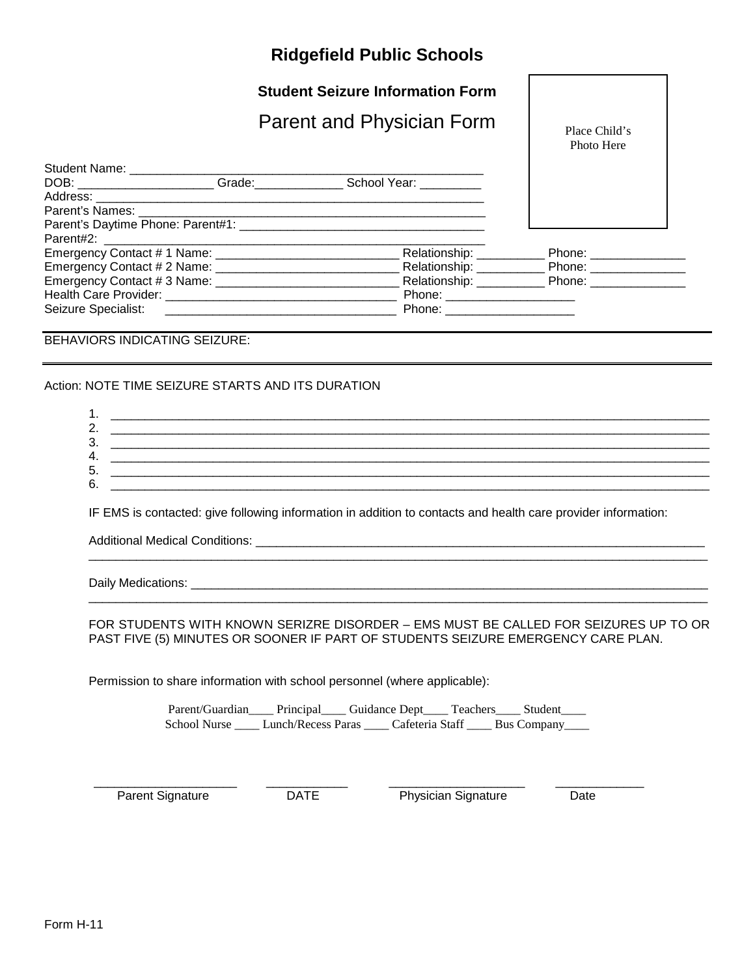### **Student Seizure Information Form**

## Parent and Physician Form

Place Child's Photo Here

| Student Name: ______________________ |                                                                           |                             |
|--------------------------------------|---------------------------------------------------------------------------|-----------------------------|
|                                      | DOB: _______________________Grade:________________School Year: __________ |                             |
|                                      |                                                                           |                             |
|                                      |                                                                           |                             |
|                                      |                                                                           |                             |
|                                      |                                                                           |                             |
|                                      | Relationship: Relationship:                                               | Phone: ________________     |
|                                      |                                                                           |                             |
|                                      |                                                                           | Relationship: Phone: Phone: |
|                                      | Phone: ______________________                                             |                             |
| Seizure Specialist: ________________ | Phone: ___________                                                        |                             |

#### BEHAVIORS INDICATING SEIZURE:

#### Action: NOTE TIME SEIZURE STARTS AND ITS DURATION

| л.             |  |  |
|----------------|--|--|
| ۷.             |  |  |
| 3.             |  |  |
| Δ.             |  |  |
|                |  |  |
|                |  |  |
| т.<br>5.<br>6. |  |  |

IF EMS is contacted: give following information in addition to contacts and health care provider information:

Additional Medical Conditions: **Example 20** and the set of the set of the set of the set of the set of the set o

Daily Medications: \_\_\_\_\_\_\_\_\_\_\_\_\_\_\_\_\_\_\_\_\_\_\_\_\_\_\_\_\_\_\_\_\_\_\_\_\_\_\_\_\_\_\_\_\_\_\_\_\_\_\_\_\_\_\_\_\_\_\_\_\_\_\_\_\_\_\_\_\_\_\_\_\_\_\_\_

#### FOR STUDENTS WITH KNOWN SERIZRE DISORDER – EMS MUST BE CALLED FOR SEIZURES UP TO OR PAST FIVE (5) MINUTES OR SOONER IF PART OF STUDENTS SEIZURE EMERGENCY CARE PLAN.

\_\_\_\_\_\_\_\_\_\_\_\_\_\_\_\_\_\_\_\_\_\_\_\_\_\_\_\_\_\_\_\_\_\_\_\_\_\_\_\_\_\_\_\_\_\_\_\_\_\_\_\_\_\_\_\_\_\_\_\_\_\_\_\_\_\_\_\_\_\_\_\_\_\_\_\_\_\_\_\_\_\_\_\_\_\_\_\_\_\_\_

\_\_\_\_\_\_\_\_\_\_\_\_\_\_\_\_\_\_\_\_\_\_\_\_\_\_\_\_\_\_\_\_\_\_\_\_\_\_\_\_\_\_\_\_\_\_\_\_\_\_\_\_\_\_\_\_\_\_\_\_\_\_\_\_\_\_\_\_\_\_\_\_\_\_\_\_\_\_\_\_\_\_\_\_\_\_\_\_\_\_\_

Permission to share information with school personnel (where applicable):

Parent/Guardian\_\_\_\_ Principal\_\_\_\_ Guidance Dept\_\_\_\_ Teachers\_\_\_\_ Student\_\_\_\_ School Nurse \_\_\_\_ Lunch/Recess Paras \_\_\_\_ Cafeteria Staff \_\_\_\_ Bus Company\_\_\_\_

 $\frac{1}{2}$  ,  $\frac{1}{2}$  ,  $\frac{1}{2}$  ,  $\frac{1}{2}$  ,  $\frac{1}{2}$  ,  $\frac{1}{2}$  ,  $\frac{1}{2}$  ,  $\frac{1}{2}$  ,  $\frac{1}{2}$  ,  $\frac{1}{2}$  ,  $\frac{1}{2}$  ,  $\frac{1}{2}$  ,  $\frac{1}{2}$  ,  $\frac{1}{2}$  ,  $\frac{1}{2}$  ,  $\frac{1}{2}$  ,  $\frac{1}{2}$  ,  $\frac{1}{2}$  ,  $\frac{1$ Parent Signature **DATE** Physician Signature Date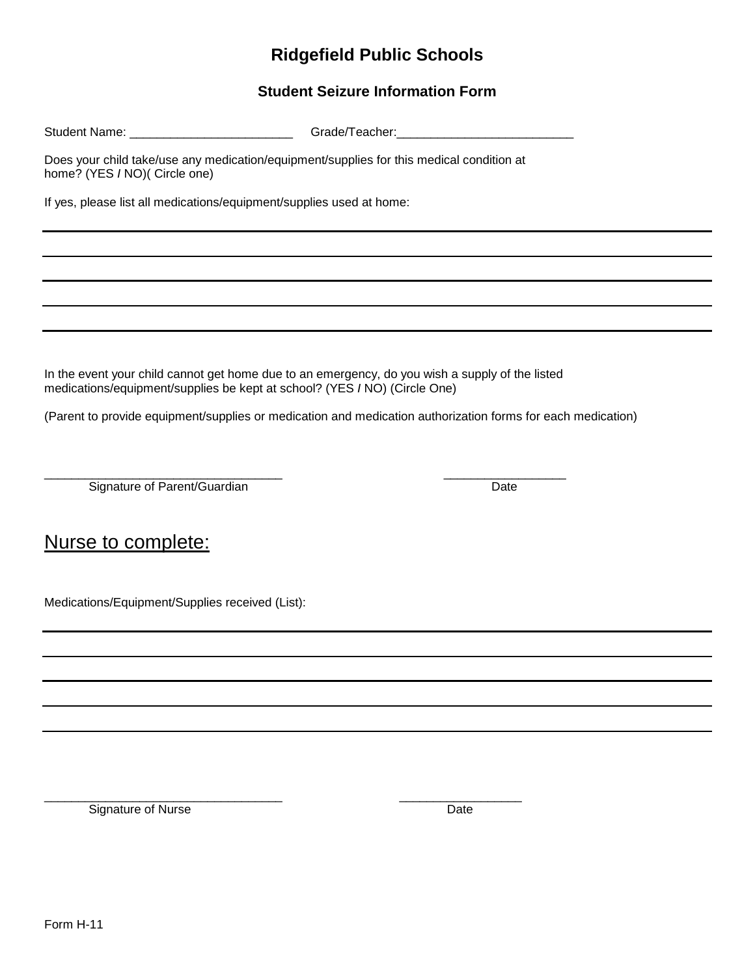### **Student Seizure Information Form**

| Student Name: | Grade/Teacher: |
|---------------|----------------|
|               |                |

Does your child take/use any medication/equipment/supplies for this medical condition at home? (YES *I* NO)( Circle one)

If yes, please list all medications/equipment/supplies used at home:

In the event your child cannot get home due to an emergency, do you wish a supply of the listed medications/equipment/supplies be kept at school? (YES *I* NO) (Circle One)

(Parent to provide equipment/supplies or medication and medication authorization forms for each medication)

\_\_\_\_\_\_\_\_\_\_\_\_\_\_\_\_\_\_\_\_\_\_\_\_\_\_\_\_\_\_\_\_\_\_\_ \_\_\_\_\_\_\_\_\_\_\_\_\_\_\_\_\_\_ Signature of Parent/Guardian Date Date

# Nurse to complete:

Medications/Equipment/Supplies received (List):

Signature of Nurse Date Date Date

\_\_\_\_\_\_\_\_\_\_\_\_\_\_\_\_\_\_\_\_\_\_\_\_\_\_\_\_\_\_\_\_\_\_\_ \_\_\_\_\_\_\_\_\_\_\_\_\_\_\_\_\_\_